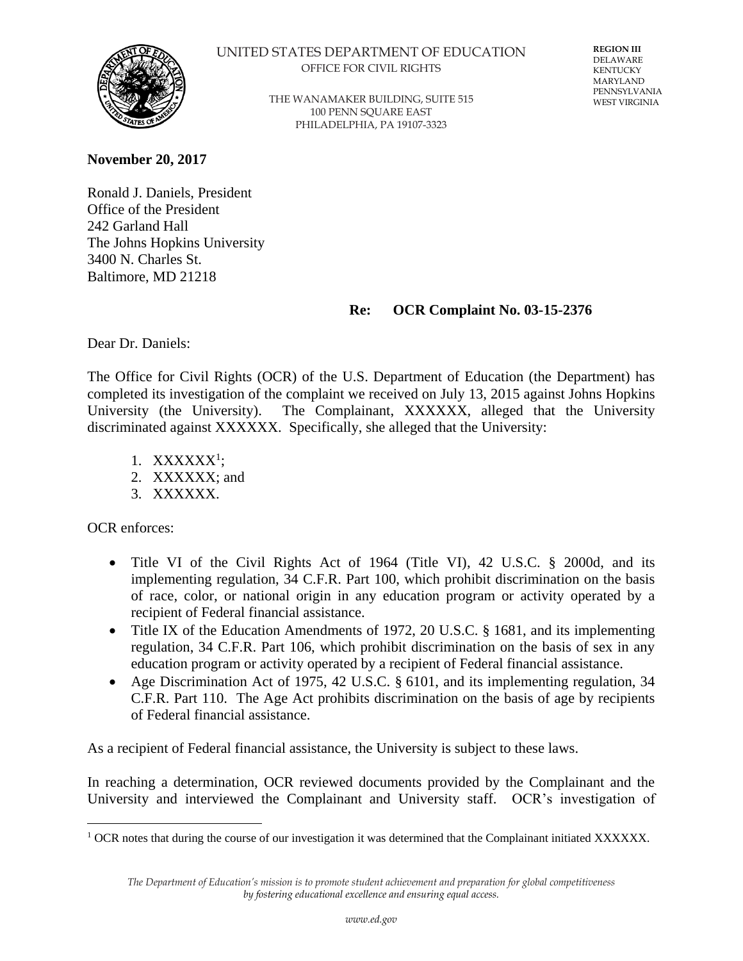

#### UNITED STATES DEPARTMENT OF EDUCATION OFFICE FOR CIVIL RIGHTS

THE WANAMAKER BUILDING, SUITE 515 100 PENN SQUARE EAST PHILADELPHIA, PA 19107-3323

**REGION III** DELAWARE KENTUCKY MARYLAND PENNSYLVANIA WEST VIRGINIA

## **November 20, 2017**

Ronald J. Daniels, President Office of the President 242 Garland Hall The Johns Hopkins University 3400 N. Charles St. Baltimore, MD 21218

## **Re: OCR Complaint No. 03-15-2376**

Dear Dr. Daniels:

The Office for Civil Rights (OCR) of the U.S. Department of Education (the Department) has completed its investigation of the complaint we received on July 13, 2015 against Johns Hopkins University (the University). The Complainant, XXXXXX, alleged that the University discriminated against XXXXXX. Specifically, she alleged that the University:

- 1. XXXXXX<sup>1</sup>;
- 2. XXXXXX; and
- 3. XXXXXX.

OCR enforces:

- Title VI of the Civil Rights Act of 1964 (Title VI), 42 U.S.C. § 2000d, and its implementing regulation, 34 C.F.R. Part 100, which prohibit discrimination on the basis of race, color, or national origin in any education program or activity operated by a recipient of Federal financial assistance.
- Title IX of the Education Amendments of 1972, 20 U.S.C. § 1681, and its implementing regulation, 34 C.F.R. Part 106, which prohibit discrimination on the basis of sex in any education program or activity operated by a recipient of Federal financial assistance.
- Age Discrimination Act of 1975, 42 U.S.C. § 6101, and its implementing regulation, 34 C.F.R. Part 110. The Age Act prohibits discrimination on the basis of age by recipients of Federal financial assistance.

As a recipient of Federal financial assistance, the University is subject to these laws.

In reaching a determination, OCR reviewed documents provided by the Complainant and the University and interviewed the Complainant and University staff. OCR's investigation of

 $\overline{a}$ <sup>1</sup> OCR notes that during the course of our investigation it was determined that the Complainant initiated XXXXXX.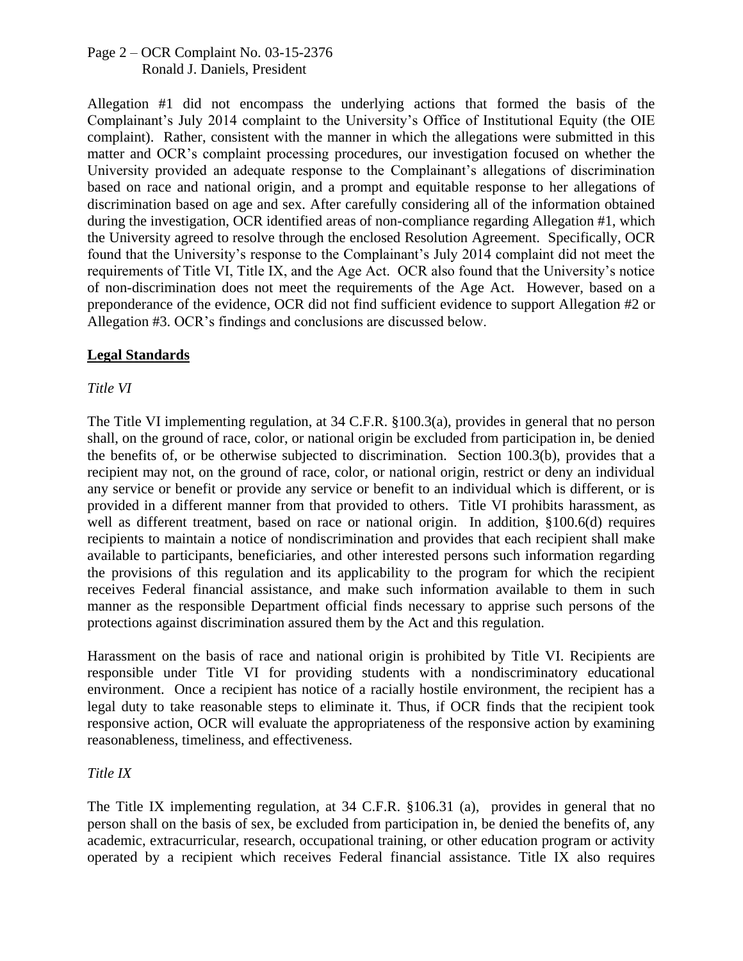## Page 2 – OCR Complaint No. 03-15-2376 Ronald J. Daniels, President

Allegation #1 did not encompass the underlying actions that formed the basis of the Complainant's July 2014 complaint to the University's Office of Institutional Equity (the OIE complaint). Rather, consistent with the manner in which the allegations were submitted in this matter and OCR's complaint processing procedures, our investigation focused on whether the University provided an adequate response to the Complainant's allegations of discrimination based on race and national origin, and a prompt and equitable response to her allegations of discrimination based on age and sex. After carefully considering all of the information obtained during the investigation, OCR identified areas of non-compliance regarding Allegation #1, which the University agreed to resolve through the enclosed Resolution Agreement. Specifically, OCR found that the University's response to the Complainant's July 2014 complaint did not meet the requirements of Title VI, Title IX, and the Age Act. OCR also found that the University's notice of non-discrimination does not meet the requirements of the Age Act. However, based on a preponderance of the evidence, OCR did not find sufficient evidence to support Allegation #2 or Allegation #3. OCR's findings and conclusions are discussed below.

# **Legal Standards**

## *Title VI*

The Title VI implementing regulation, at 34 C.F.R. §100.3(a), provides in general that no person shall, on the ground of race, color, or national origin be excluded from participation in, be denied the benefits of, or be otherwise subjected to discrimination. Section 100.3(b), provides that a recipient may not, on the ground of race, color, or national origin, restrict or deny an individual any service or benefit or provide any service or benefit to an individual which is different, or is provided in a different manner from that provided to others. Title VI prohibits harassment, as well as different treatment, based on race or national origin. In addition, §100.6(d) requires recipients to maintain a notice of nondiscrimination and provides that each recipient shall make available to participants, beneficiaries, and other interested persons such information regarding the provisions of this regulation and its applicability to the program for which the recipient receives Federal financial assistance, and make such information available to them in such manner as the responsible Department official finds necessary to apprise such persons of the protections against discrimination assured them by the Act and this regulation.

Harassment on the basis of race and national origin is prohibited by Title VI. Recipients are responsible under Title VI for providing students with a nondiscriminatory educational environment. Once a recipient has notice of a racially hostile environment, the recipient has a legal duty to take reasonable steps to eliminate it. Thus, if OCR finds that the recipient took responsive action, OCR will evaluate the appropriateness of the responsive action by examining reasonableness, timeliness, and effectiveness.

### *Title IX*

The Title IX implementing regulation, at 34 C.F.R. §106.31 (a), provides in general that no person shall on the basis of sex, be excluded from participation in, be denied the benefits of, any academic, extracurricular, research, occupational training, or other education program or activity operated by a recipient which receives Federal financial assistance. Title IX also requires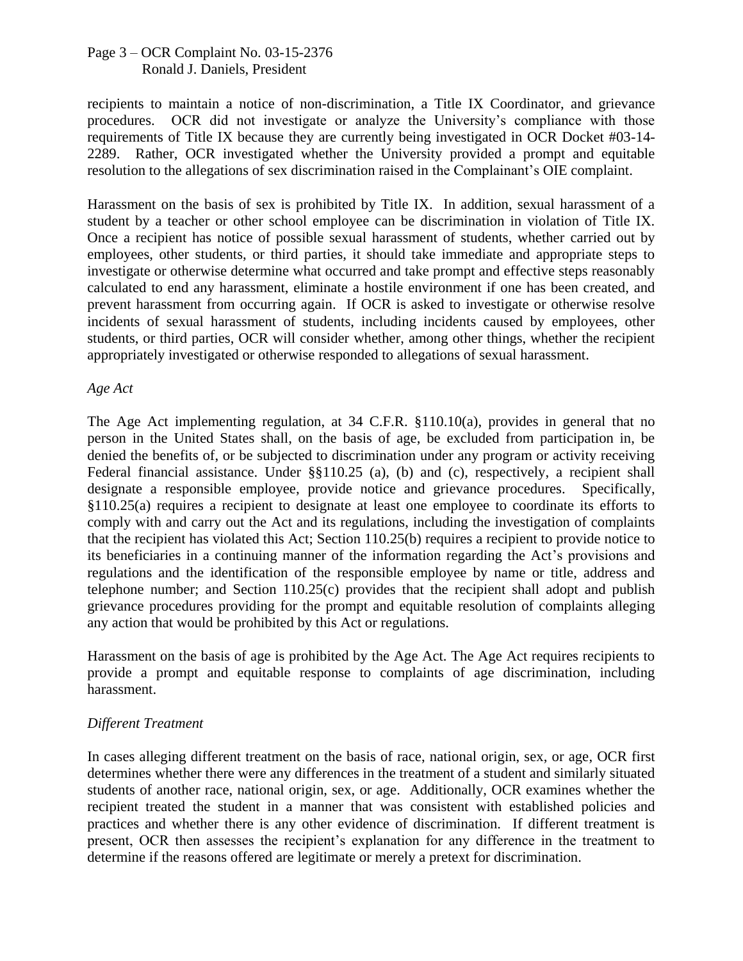## Page 3 – OCR Complaint No. 03-15-2376 Ronald J. Daniels, President

recipients to maintain a notice of non-discrimination, a Title IX Coordinator, and grievance procedures. OCR did not investigate or analyze the University's compliance with those requirements of Title IX because they are currently being investigated in OCR Docket #03-14- 2289. Rather, OCR investigated whether the University provided a prompt and equitable resolution to the allegations of sex discrimination raised in the Complainant's OIE complaint.

Harassment on the basis of sex is prohibited by Title IX. In addition, sexual harassment of a student by a teacher or other school employee can be discrimination in violation of Title IX. Once a recipient has notice of possible sexual harassment of students, whether carried out by employees, other students, or third parties, it should take immediate and appropriate steps to investigate or otherwise determine what occurred and take prompt and effective steps reasonably calculated to end any harassment, eliminate a hostile environment if one has been created, and prevent harassment from occurring again. If OCR is asked to investigate or otherwise resolve incidents of sexual harassment of students, including incidents caused by employees, other students, or third parties, OCR will consider whether, among other things, whether the recipient appropriately investigated or otherwise responded to allegations of sexual harassment.

### *Age Act*

The Age Act implementing regulation, at 34 C.F.R. §110.10(a), provides in general that no person in the United States shall, on the basis of age, be excluded from participation in, be denied the benefits of, or be subjected to discrimination under any program or activity receiving Federal financial assistance. Under §§110.25 (a), (b) and (c), respectively, a recipient shall designate a responsible employee, provide notice and grievance procedures. Specifically, §110.25(a) requires a recipient to designate at least one employee to coordinate its efforts to comply with and carry out the Act and its regulations, including the investigation of complaints that the recipient has violated this Act; Section 110.25(b) requires a recipient to provide notice to its beneficiaries in a continuing manner of the information regarding the Act's provisions and regulations and the identification of the responsible employee by name or title, address and telephone number; and Section 110.25(c) provides that the recipient shall adopt and publish grievance procedures providing for the prompt and equitable resolution of complaints alleging any action that would be prohibited by this Act or regulations.

Harassment on the basis of age is prohibited by the Age Act. The Age Act requires recipients to provide a prompt and equitable response to complaints of age discrimination, including harassment.

## *Different Treatment*

In cases alleging different treatment on the basis of race, national origin, sex, or age, OCR first determines whether there were any differences in the treatment of a student and similarly situated students of another race, national origin, sex, or age. Additionally, OCR examines whether the recipient treated the student in a manner that was consistent with established policies and practices and whether there is any other evidence of discrimination. If different treatment is present, OCR then assesses the recipient's explanation for any difference in the treatment to determine if the reasons offered are legitimate or merely a pretext for discrimination.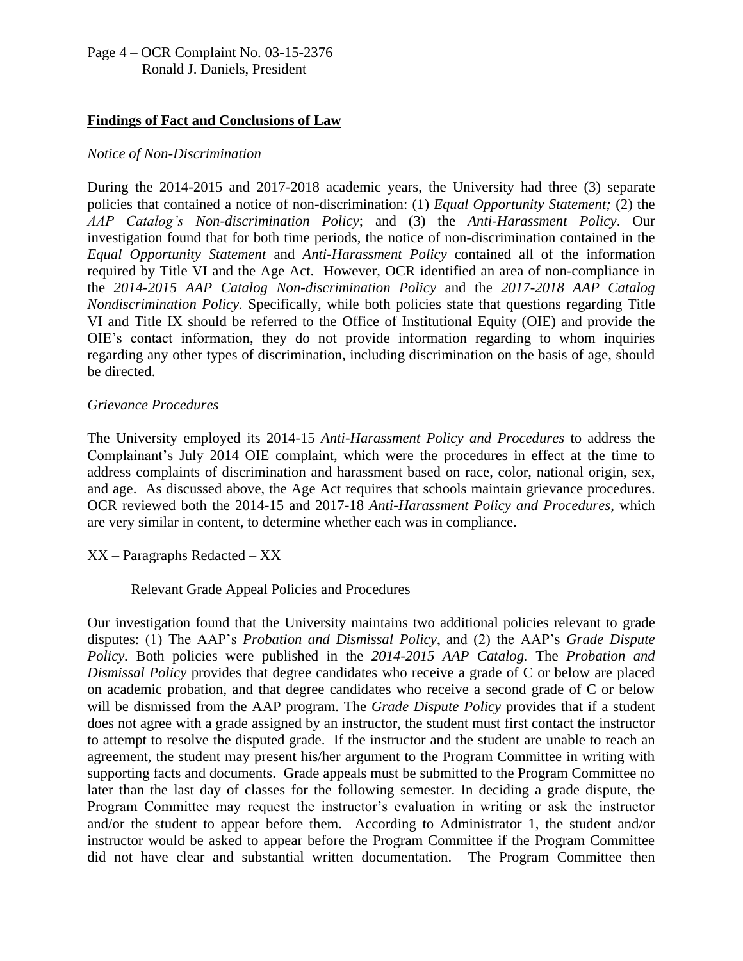### Page 4 – OCR Complaint No. 03-15-2376 Ronald J. Daniels, President

### **Findings of Fact and Conclusions of Law**

### *Notice of Non-Discrimination*

During the 2014-2015 and 2017-2018 academic years, the University had three (3) separate policies that contained a notice of non-discrimination: (1) *Equal Opportunity Statement;* (2) the *AAP Catalog's Non-discrimination Policy*; and (3) the *Anti-Harassment Policy*. Our investigation found that for both time periods, the notice of non-discrimination contained in the *Equal Opportunity Statement* and *Anti-Harassment Policy* contained all of the information required by Title VI and the Age Act. However, OCR identified an area of non-compliance in the *2014-2015 AAP Catalog Non-discrimination Policy* and the *2017-2018 AAP Catalog Nondiscrimination Policy.* Specifically, while both policies state that questions regarding Title VI and Title IX should be referred to the Office of Institutional Equity (OIE) and provide the OIE's contact information, they do not provide information regarding to whom inquiries regarding any other types of discrimination, including discrimination on the basis of age, should be directed.

### *Grievance Procedures*

The University employed its 2014-15 *Anti-Harassment Policy and Procedures* to address the Complainant's July 2014 OIE complaint, which were the procedures in effect at the time to address complaints of discrimination and harassment based on race, color, national origin, sex, and age. As discussed above, the Age Act requires that schools maintain grievance procedures. OCR reviewed both the 2014-15 and 2017-18 *Anti-Harassment Policy and Procedures*, which are very similar in content, to determine whether each was in compliance.

XX – Paragraphs Redacted – XX

### Relevant Grade Appeal Policies and Procedures

Our investigation found that the University maintains two additional policies relevant to grade disputes: (1) The AAP's *Probation and Dismissal Policy*, and (2) the AAP's *Grade Dispute Policy.* Both policies were published in the *2014-2015 AAP Catalog.* The *Probation and Dismissal Policy* provides that degree candidates who receive a grade of C or below are placed on academic probation, and that degree candidates who receive a second grade of C or below will be dismissed from the AAP program. The *Grade Dispute Policy* provides that if a student does not agree with a grade assigned by an instructor, the student must first contact the instructor to attempt to resolve the disputed grade. If the instructor and the student are unable to reach an agreement, the student may present his/her argument to the Program Committee in writing with supporting facts and documents. Grade appeals must be submitted to the Program Committee no later than the last day of classes for the following semester. In deciding a grade dispute, the Program Committee may request the instructor's evaluation in writing or ask the instructor and/or the student to appear before them. According to Administrator 1, the student and/or instructor would be asked to appear before the Program Committee if the Program Committee did not have clear and substantial written documentation. The Program Committee then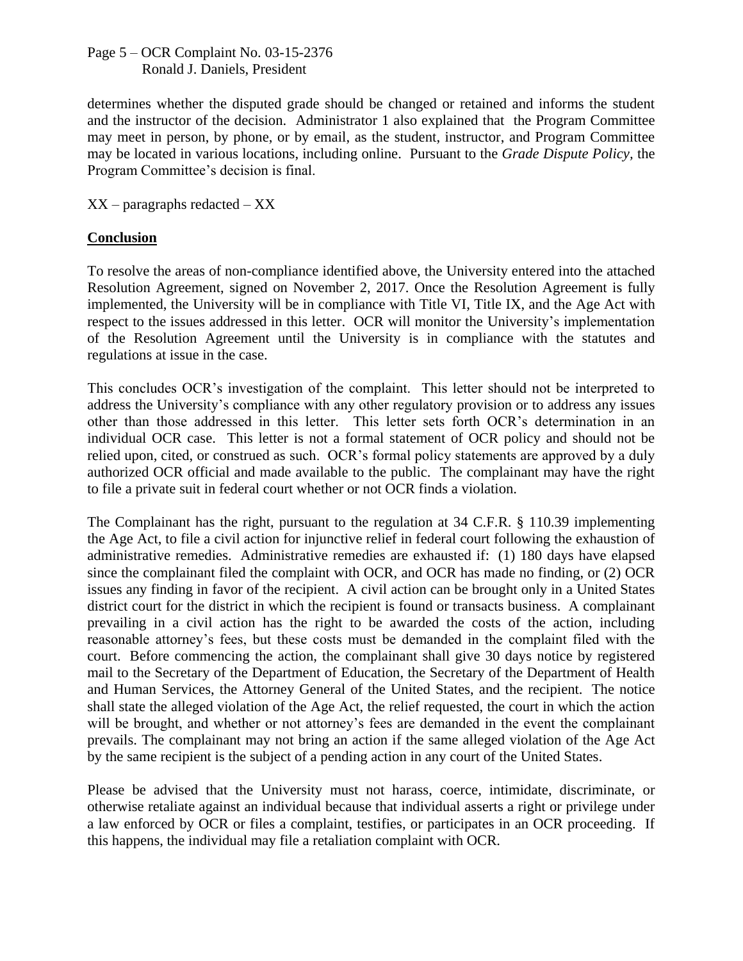## Page 5 – OCR Complaint No. 03-15-2376 Ronald J. Daniels, President

determines whether the disputed grade should be changed or retained and informs the student and the instructor of the decision. Administrator 1 also explained that the Program Committee may meet in person, by phone, or by email, as the student, instructor, and Program Committee may be located in various locations, including online. Pursuant to the *Grade Dispute Policy,* the Program Committee's decision is final.

XX – paragraphs redacted – XX

## **Conclusion**

To resolve the areas of non-compliance identified above, the University entered into the attached Resolution Agreement, signed on November 2, 2017. Once the Resolution Agreement is fully implemented, the University will be in compliance with Title VI, Title IX, and the Age Act with respect to the issues addressed in this letter. OCR will monitor the University's implementation of the Resolution Agreement until the University is in compliance with the statutes and regulations at issue in the case.

This concludes OCR's investigation of the complaint. This letter should not be interpreted to address the University's compliance with any other regulatory provision or to address any issues other than those addressed in this letter. This letter sets forth OCR's determination in an individual OCR case. This letter is not a formal statement of OCR policy and should not be relied upon, cited, or construed as such. OCR's formal policy statements are approved by a duly authorized OCR official and made available to the public. The complainant may have the right to file a private suit in federal court whether or not OCR finds a violation.

The Complainant has the right, pursuant to the regulation at 34 C.F.R. § 110.39 implementing the Age Act, to file a civil action for injunctive relief in federal court following the exhaustion of administrative remedies. Administrative remedies are exhausted if: (1) 180 days have elapsed since the complainant filed the complaint with OCR, and OCR has made no finding, or (2) OCR issues any finding in favor of the recipient. A civil action can be brought only in a United States district court for the district in which the recipient is found or transacts business. A complainant prevailing in a civil action has the right to be awarded the costs of the action, including reasonable attorney's fees, but these costs must be demanded in the complaint filed with the court. Before commencing the action, the complainant shall give 30 days notice by registered mail to the Secretary of the Department of Education, the Secretary of the Department of Health and Human Services, the Attorney General of the United States, and the recipient. The notice shall state the alleged violation of the Age Act, the relief requested, the court in which the action will be brought, and whether or not attorney's fees are demanded in the event the complainant prevails. The complainant may not bring an action if the same alleged violation of the Age Act by the same recipient is the subject of a pending action in any court of the United States.

Please be advised that the University must not harass, coerce, intimidate, discriminate, or otherwise retaliate against an individual because that individual asserts a right or privilege under a law enforced by OCR or files a complaint, testifies, or participates in an OCR proceeding. If this happens, the individual may file a retaliation complaint with OCR.